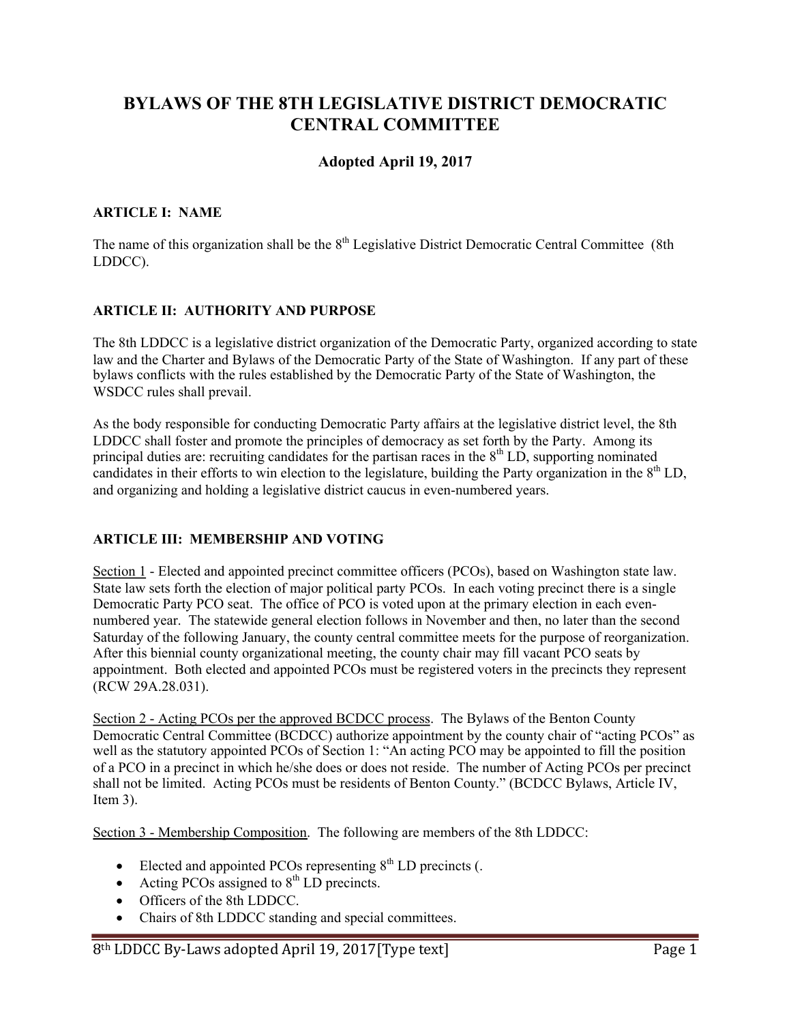# **BYLAWS OF THE 8TH LEGISLATIVE DISTRICT DEMOCRATIC CENTRAL COMMITTEE**

# **Adopted April 19, 2017**

#### **ARTICLE I: NAME**

The name of this organization shall be the  $8<sup>th</sup>$  Legislative District Democratic Central Committee (8th LDDCC).

### **ARTICLE II: AUTHORITY AND PURPOSE**

The 8th LDDCC is a legislative district organization of the Democratic Party, organized according to state law and the Charter and Bylaws of the Democratic Party of the State of Washington. If any part of these bylaws conflicts with the rules established by the Democratic Party of the State of Washington, the WSDCC rules shall prevail.

As the body responsible for conducting Democratic Party affairs at the legislative district level, the 8th LDDCC shall foster and promote the principles of democracy as set forth by the Party. Among its principal duties are: recruiting candidates for the partisan races in the  $8<sup>th</sup> L\ddot{D}$ , supporting nominated candidates in their efforts to win election to the legislature, building the Party organization in the  $8<sup>th</sup>$  LD, and organizing and holding a legislative district caucus in even-numbered years.

### **ARTICLE III: MEMBERSHIP AND VOTING**

Section 1 - Elected and appointed precinct committee officers (PCOs), based on Washington state law. State law sets forth the election of major political party PCOs. In each voting precinct there is a single Democratic Party PCO seat. The office of PCO is voted upon at the primary election in each evennumbered year. The statewide general election follows in November and then, no later than the second Saturday of the following January, the county central committee meets for the purpose of reorganization. After this biennial county organizational meeting, the county chair may fill vacant PCO seats by appointment. Both elected and appointed PCOs must be registered voters in the precincts they represent (RCW 29A.28.031).

Section 2 - Acting PCOs per the approved BCDCC process. The Bylaws of the Benton County Democratic Central Committee (BCDCC) authorize appointment by the county chair of "acting PCOs" as well as the statutory appointed PCOs of Section 1: "An acting PCO may be appointed to fill the position of a PCO in a precinct in which he/she does or does not reside. The number of Acting PCOs per precinct shall not be limited. Acting PCOs must be residents of Benton County." (BCDCC Bylaws, Article IV, Item 3).

Section 3 - Membership Composition. The following are members of the 8th LDDCC:

- Elected and appointed PCOs representing  $8<sup>th</sup>$  LD precincts (.
- Acting PCOs assigned to  $8<sup>th</sup>$  LD precincts.
- Officers of the 8th LDDCC.
- Chairs of 8th LDDCC standing and special committees.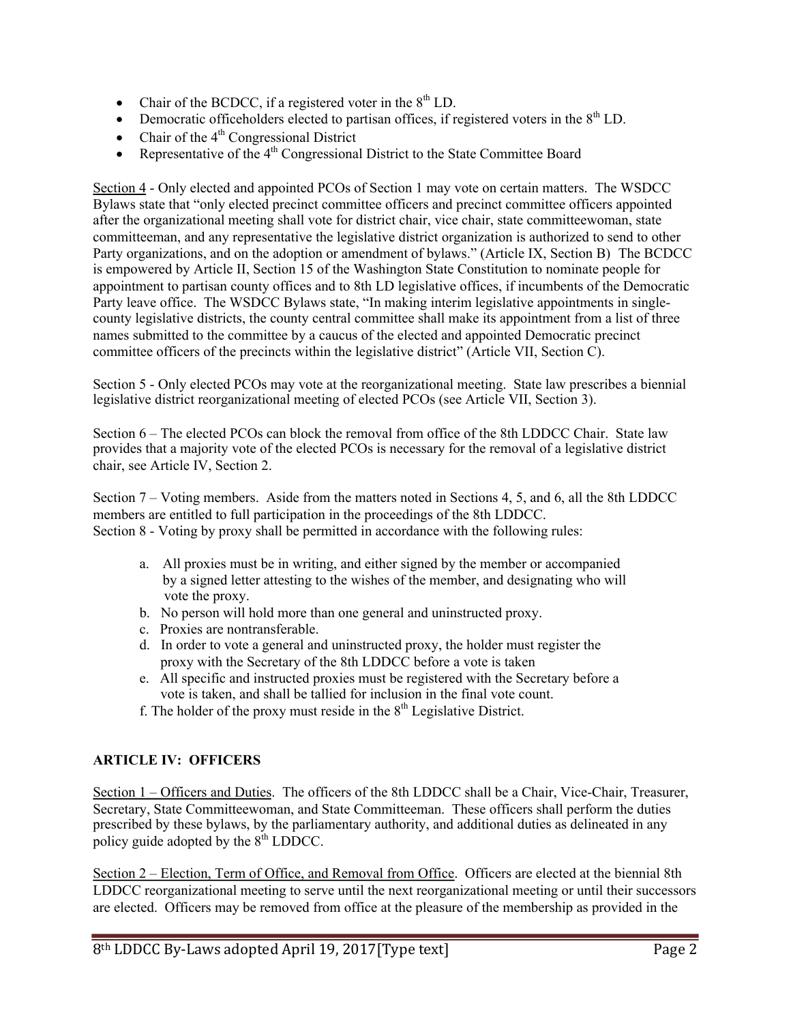- Chair of the BCDCC, if a registered voter in the  $8<sup>th</sup>$  LD.
- Democratic officeholders elected to partisan offices, if registered voters in the  $8<sup>th</sup>$  LD.
- Chair of the  $4<sup>th</sup>$  Congressional District
- Representative of the  $4<sup>th</sup>$  Congressional District to the State Committee Board

Section 4 - Only elected and appointed PCOs of Section 1 may vote on certain matters. The WSDCC Bylaws state that "only elected precinct committee officers and precinct committee officers appointed after the organizational meeting shall vote for district chair, vice chair, state committeewoman, state committeeman, and any representative the legislative district organization is authorized to send to other Party organizations, and on the adoption or amendment of bylaws." (Article IX, Section B) The BCDCC is empowered by Article II, Section 15 of the Washington State Constitution to nominate people for appointment to partisan county offices and to 8th LD legislative offices, if incumbents of the Democratic Party leave office. The WSDCC Bylaws state, "In making interim legislative appointments in singlecounty legislative districts, the county central committee shall make its appointment from a list of three names submitted to the committee by a caucus of the elected and appointed Democratic precinct committee officers of the precincts within the legislative district" (Article VII, Section C).

Section 5 - Only elected PCOs may vote at the reorganizational meeting. State law prescribes a biennial legislative district reorganizational meeting of elected PCOs (see Article VII, Section 3).

Section 6 – The elected PCOs can block the removal from office of the 8th LDDCC Chair. State law provides that a majority vote of the elected PCOs is necessary for the removal of a legislative district chair, see Article IV, Section 2.

Section 7 – Voting members. Aside from the matters noted in Sections 4, 5, and 6, all the 8th LDDCC members are entitled to full participation in the proceedings of the 8th LDDCC. Section 8 - Voting by proxy shall be permitted in accordance with the following rules:

- a. All proxies must be in writing, and either signed by the member or accompanied by a signed letter attesting to the wishes of the member, and designating who will vote the proxy.
- b. No person will hold more than one general and uninstructed proxy.
- c. Proxies are nontransferable.
- d. In order to vote a general and uninstructed proxy, the holder must register the proxy with the Secretary of the 8th LDDCC before a vote is taken
- e. All specific and instructed proxies must be registered with the Secretary before a vote is taken, and shall be tallied for inclusion in the final vote count.
- f. The holder of the proxy must reside in the  $8<sup>th</sup>$  Legislative District.

### **ARTICLE IV: OFFICERS**

Section 1 – Officers and Duties. The officers of the 8th LDDCC shall be a Chair, Vice-Chair, Treasurer, Secretary, State Committeewoman, and State Committeeman. These officers shall perform the duties prescribed by these bylaws, by the parliamentary authority, and additional duties as delineated in any policy guide adopted by the  $8<sup>th</sup>$  LDDCC.

Section 2 – Election, Term of Office, and Removal from Office. Officers are elected at the biennial 8th LDDCC reorganizational meeting to serve until the next reorganizational meeting or until their successors are elected. Officers may be removed from office at the pleasure of the membership as provided in the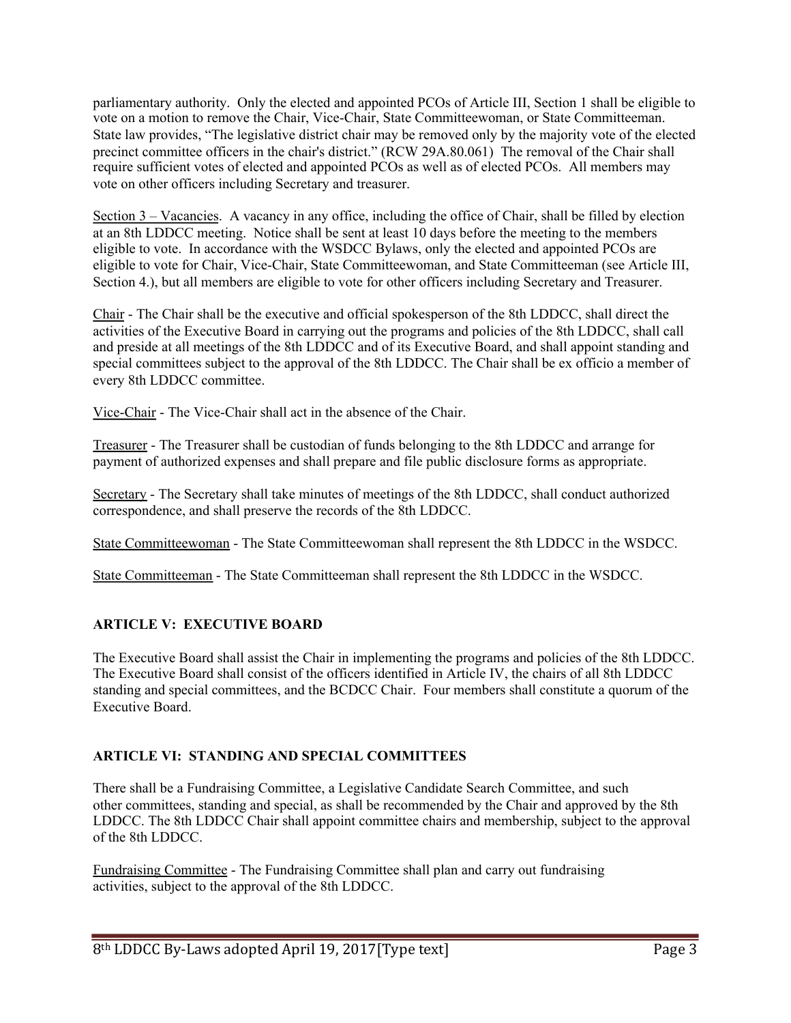parliamentary authority. Only the elected and appointed PCOs of Article III, Section 1 shall be eligible to vote on a motion to remove the Chair, Vice-Chair, State Committeewoman, or State Committeeman. State law provides, "The legislative district chair may be removed only by the majority vote of the elected precinct committee officers in the chair's district." (RCW 29A.80.061) The removal of the Chair shall require sufficient votes of elected and appointed PCOs as well as of elected PCOs. All members may vote on other officers including Secretary and treasurer.

Section 3 – Vacancies. A vacancy in any office, including the office of Chair, shall be filled by election at an 8th LDDCC meeting. Notice shall be sent at least 10 days before the meeting to the members eligible to vote. In accordance with the WSDCC Bylaws, only the elected and appointed PCOs are eligible to vote for Chair, Vice-Chair, State Committeewoman, and State Committeeman (see Article III, Section 4.), but all members are eligible to vote for other officers including Secretary and Treasurer.

Chair - The Chair shall be the executive and official spokesperson of the 8th LDDCC, shall direct the activities of the Executive Board in carrying out the programs and policies of the 8th LDDCC, shall call and preside at all meetings of the 8th LDDCC and of its Executive Board, and shall appoint standing and special committees subject to the approval of the 8th LDDCC. The Chair shall be ex officio a member of every 8th LDDCC committee.

Vice-Chair - The Vice-Chair shall act in the absence of the Chair.

Treasurer - The Treasurer shall be custodian of funds belonging to the 8th LDDCC and arrange for payment of authorized expenses and shall prepare and file public disclosure forms as appropriate.

Secretary - The Secretary shall take minutes of meetings of the 8th LDDCC, shall conduct authorized correspondence, and shall preserve the records of the 8th LDDCC.

State Committeewoman - The State Committeewoman shall represent the 8th LDDCC in the WSDCC.

State Committeeman - The State Committeeman shall represent the 8th LDDCC in the WSDCC.

## **ARTICLE V: EXECUTIVE BOARD**

The Executive Board shall assist the Chair in implementing the programs and policies of the 8th LDDCC. The Executive Board shall consist of the officers identified in Article IV, the chairs of all 8th LDDCC standing and special committees, and the BCDCC Chair. Four members shall constitute a quorum of the Executive Board.

## **ARTICLE VI: STANDING AND SPECIAL COMMITTEES**

There shall be a Fundraising Committee, a Legislative Candidate Search Committee, and such other committees, standing and special, as shall be recommended by the Chair and approved by the 8th LDDCC. The 8th LDDCC Chair shall appoint committee chairs and membership, subject to the approval of the 8th LDDCC.

Fundraising Committee - The Fundraising Committee shall plan and carry out fundraising activities, subject to the approval of the 8th LDDCC.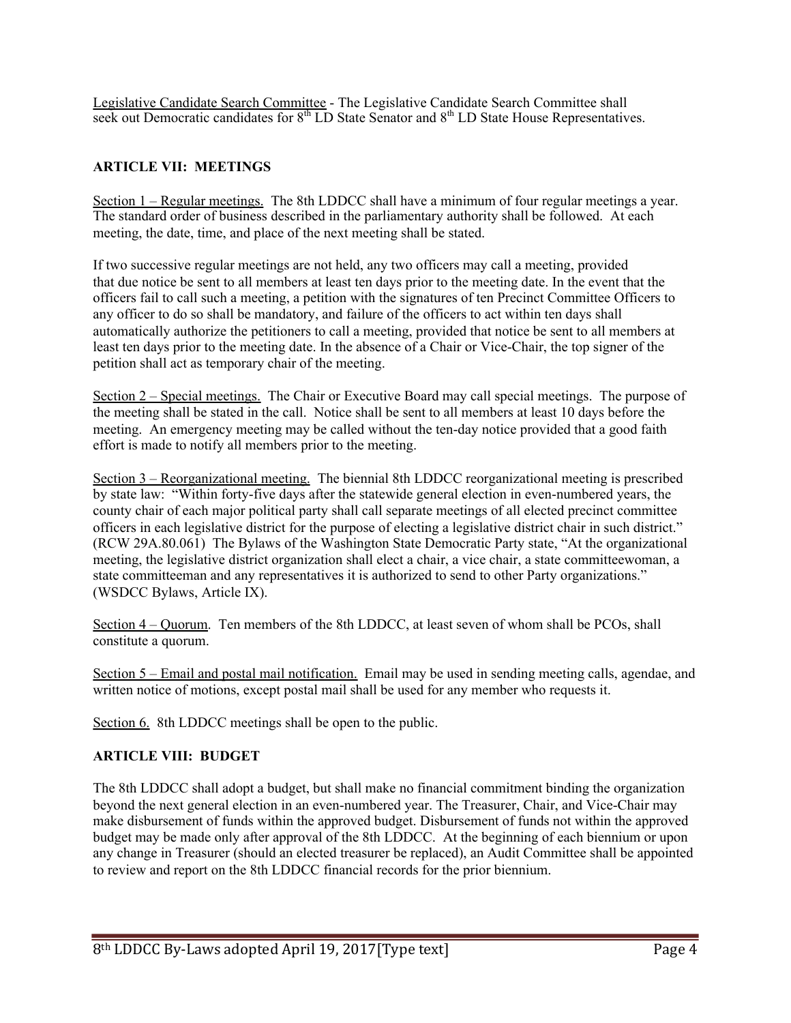Legislative Candidate Search Committee - The Legislative Candidate Search Committee shall seek out Democratic candidates for  $8<sup>th</sup>$  LD State Senator and  $8<sup>th</sup>$  LD State House Representatives.

### **ARTICLE VII: MEETINGS**

Section 1 – Regular meetings. The 8th LDDCC shall have a minimum of four regular meetings a year. The standard order of business described in the parliamentary authority shall be followed. At each meeting, the date, time, and place of the next meeting shall be stated.

If two successive regular meetings are not held, any two officers may call a meeting, provided that due notice be sent to all members at least ten days prior to the meeting date. In the event that the officers fail to call such a meeting, a petition with the signatures of ten Precinct Committee Officers to any officer to do so shall be mandatory, and failure of the officers to act within ten days shall automatically authorize the petitioners to call a meeting, provided that notice be sent to all members at least ten days prior to the meeting date. In the absence of a Chair or Vice-Chair, the top signer of the petition shall act as temporary chair of the meeting.

Section 2 – Special meetings. The Chair or Executive Board may call special meetings. The purpose of the meeting shall be stated in the call. Notice shall be sent to all members at least 10 days before the meeting. An emergency meeting may be called without the ten-day notice provided that a good faith effort is made to notify all members prior to the meeting.

Section 3 – Reorganizational meeting. The biennial 8th LDDCC reorganizational meeting is prescribed by state law: "Within forty-five days after the statewide general election in even-numbered years, the county chair of each major political party shall call separate meetings of all elected precinct committee officers in each legislative district for the purpose of electing a legislative district chair in such district." (RCW 29A.80.061) The Bylaws of the Washington State Democratic Party state, "At the organizational meeting, the legislative district organization shall elect a chair, a vice chair, a state committeewoman, a state committeeman and any representatives it is authorized to send to other Party organizations." (WSDCC Bylaws, Article IX).

Section 4 – Quorum. Ten members of the 8th LDDCC, at least seven of whom shall be PCOs, shall constitute a quorum.

Section 5 – Email and postal mail notification. Email may be used in sending meeting calls, agendae, and written notice of motions, except postal mail shall be used for any member who requests it.

Section 6. 8th LDDCC meetings shall be open to the public.

### **ARTICLE VIII: BUDGET**

The 8th LDDCC shall adopt a budget, but shall make no financial commitment binding the organization beyond the next general election in an even-numbered year. The Treasurer, Chair, and Vice-Chair may make disbursement of funds within the approved budget. Disbursement of funds not within the approved budget may be made only after approval of the 8th LDDCC. At the beginning of each biennium or upon any change in Treasurer (should an elected treasurer be replaced), an Audit Committee shall be appointed to review and report on the 8th LDDCC financial records for the prior biennium.